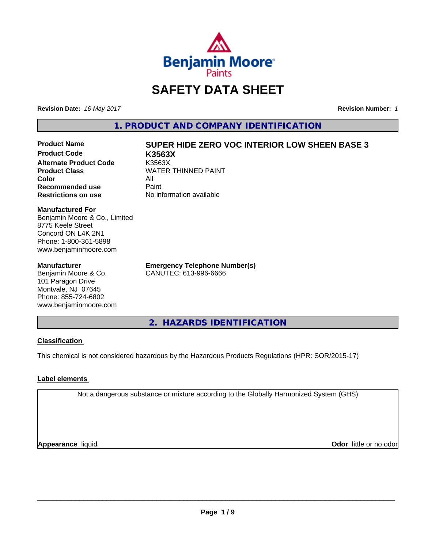

# **SAFETY DATA SHEET**

**Revision Date:** *16-May-2017* **Revision Number:** *1*

**1. PRODUCT AND COMPANY IDENTIFICATION**

**Product Code K3563X Alternate Product Code**<br>Product Class **Color** All<br> **Recommended use** Paint **Recommended use**<br>Restrictions on use

# **Product Name SUPER HIDE ZERO VOC INTERIOR LOW SHEEN BASE 3**

**WATER THINNED PAINT No information available** 

#### **Manufactured For**

Benjamin Moore & Co., Limited 8775 Keele Street Concord ON L4K 2N1 Phone: 1-800-361-5898 www.benjaminmoore.com

#### **Manufacturer**

Benjamin Moore & Co. 101 Paragon Drive Montvale, NJ 07645 Phone: 855-724-6802 www.benjaminmoore.com

**Emergency Telephone Number(s)** CANUTEC: 613-996-6666

**2. HAZARDS IDENTIFICATION**

#### **Classification**

This chemical is not considered hazardous by the Hazardous Products Regulations (HPR: SOR/2015-17)

#### **Label elements**

Not a dangerous substance or mixture according to the Globally Harmonized System (GHS)

**Appearance** liquid

**Odor** little or no odor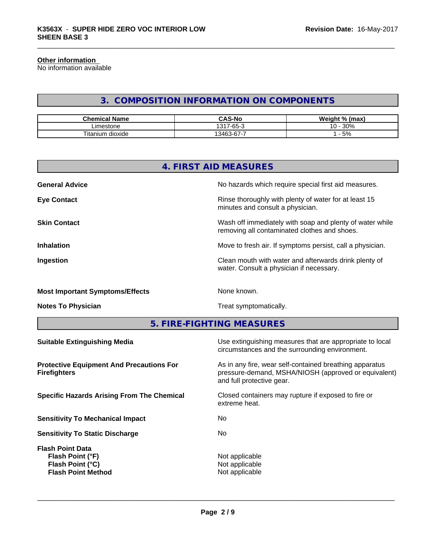#### **Other information**

No information available

# **3. COMPOSITION INFORMATION ON COMPONENTS**

| .<br>ˈName<br>Chemical      | <b>CAS-No</b>                             | Weim.<br>$-1 - 0/1$<br>(max)             |
|-----------------------------|-------------------------------------------|------------------------------------------|
| _imestone                   | $\sim$ $\sim$<br>1017<br>-65-             | 30%<br>$\overline{\phantom{a}}$<br>. U - |
| $- -$<br>dioxide<br>itanium | $\sim$ $\sim$<br>3463<br>ว.ว-เว <i>ิเ</i> | 5%                                       |

| No hazards which require special first aid measures.<br><b>General Advice</b>                                                                                                                                          |
|------------------------------------------------------------------------------------------------------------------------------------------------------------------------------------------------------------------------|
| Rinse thoroughly with plenty of water for at least 15<br><b>Eye Contact</b><br>minutes and consult a physician.                                                                                                        |
| <b>Skin Contact</b><br>Wash off immediately with soap and plenty of water while<br>removing all contaminated clothes and shoes.                                                                                        |
| Move to fresh air. If symptoms persist, call a physician.<br><b>Inhalation</b>                                                                                                                                         |
| Clean mouth with water and afterwards drink plenty of<br>Ingestion<br>water. Consult a physician if necessary.                                                                                                         |
| None known.<br><b>Most Important Symptoms/Effects</b>                                                                                                                                                                  |
| Treat symptomatically.<br><b>Notes To Physician</b>                                                                                                                                                                    |
| 5. FIRE-FIGHTING MEASURES                                                                                                                                                                                              |
| Use extinguishing measures that are appropriate to local<br><b>Suitable Extinguishing Media</b><br>circumstances and the surrounding environment.                                                                      |
| As in any fire, wear self-contained breathing apparatus<br><b>Protective Equipment And Precautions For</b><br>pressure-demand, MSHA/NIOSH (approved or equivalent)<br><b>Firefighters</b><br>and full protective gear. |

**Specific Hazards Arising From The Chemical Closed containers may rupture if exposed to fire or** extreme heat.

**Sensitivity To Static Discharge** No

**Sensitivity To Mechanical Impact** No

**Flash Point Data Flash Point (°F)**  $\qquad \qquad$  Not applicable **Flash Point (°C)**  $\qquad \qquad$  Not applicable **Flash Point Method** Not applicable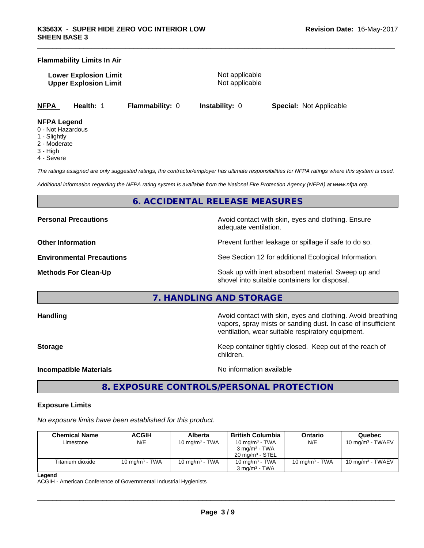#### **Flammability Limits In Air**

**Lower Explosion Limit** Not applicable **Upper Explosion Limit** Not applicable

**NFPA Health:** 1 **Flammability:** 0 **Instability:** 0 **Special:** Not Applicable

#### **NFPA Legend**

- 0 Not Hazardous
- 1 Slightly
- 2 Moderate
- 3 High
- 4 Severe

*The ratings assigned are only suggested ratings, the contractor/employer has ultimate responsibilities for NFPA ratings where this system is used.*

*Additional information regarding the NFPA rating system is available from the National Fire Protection Agency (NFPA) at www.nfpa.org.*

# **6. ACCIDENTAL RELEASE MEASURES**

**Personal Precautions Avoid contact with skin, eyes and clothing. Ensure** Avoid contact with skin, eyes and clothing. Ensure adequate ventilation.

**Other Information Discription Prevent further leakage or spillage if safe to do so.** 

**Environmental Precautions** See Section 12 for additional Ecological Information.

**Methods For Clean-Up Example 20 All 20 All 20 All 20 All 20 All 20 All 20 All 20 All 20 All 20 All 20 All 20 All 20 All 20 All 20 All 20 All 20 All 20 All 20 All 20 All 20 All 20 All 20 All 20 All 20 All 20 All 20 All 2** shovel into suitable containers for disposal.

## **7. HANDLING AND STORAGE**

**Handling Handling Avoid contact with skin, eyes and clothing. Avoid breathing** vapors, spray mists or sanding dust. In case of insufficient ventilation, wear suitable respiratory equipment.

**Storage** Storage **Keep container tightly closed.** Keep out of the reach of children.

**Incompatible Materials Incompatible Materials No information available** 

 $\overline{\phantom{a}}$  ,  $\overline{\phantom{a}}$  ,  $\overline{\phantom{a}}$  ,  $\overline{\phantom{a}}$  ,  $\overline{\phantom{a}}$  ,  $\overline{\phantom{a}}$  ,  $\overline{\phantom{a}}$  ,  $\overline{\phantom{a}}$  ,  $\overline{\phantom{a}}$  ,  $\overline{\phantom{a}}$  ,  $\overline{\phantom{a}}$  ,  $\overline{\phantom{a}}$  ,  $\overline{\phantom{a}}$  ,  $\overline{\phantom{a}}$  ,  $\overline{\phantom{a}}$  ,  $\overline{\phantom{a}}$ 

**8. EXPOSURE CONTROLS/PERSONAL PROTECTION**

#### **Exposure Limits**

*No exposure limits have been established for this product.*

| <b>Chemical Name</b> | ACGIH             | <b>Alberta</b>    | <b>British Columbia</b>    | Ontario           | Quebec                       |
|----------------------|-------------------|-------------------|----------------------------|-------------------|------------------------------|
| Limestone            | N/E               | 10 mg/m $3$ - TWA | 10 mg/m $3$ - TWA          | N/E               | 10 mg/m <sup>3</sup> - TWAEV |
|                      |                   |                   | $3 \text{ ma/m}^3$ - TWA   |                   |                              |
|                      |                   |                   | $20 \text{ ma/m}^3$ - STEL |                   |                              |
| Titanium dioxide     | 10 mg/m $3$ - TWA | 10 mg/m $3$ - TWA | 10 mg/m $3$ - TWA          | 10 mg/m $3$ - TWA | 10 mg/m $3$ - TWAEV          |
|                      |                   |                   | $3 \text{ ma/m}^3$ - TWA   |                   |                              |

**Legend**

ACGIH - American Conference of Governmental Industrial Hygienists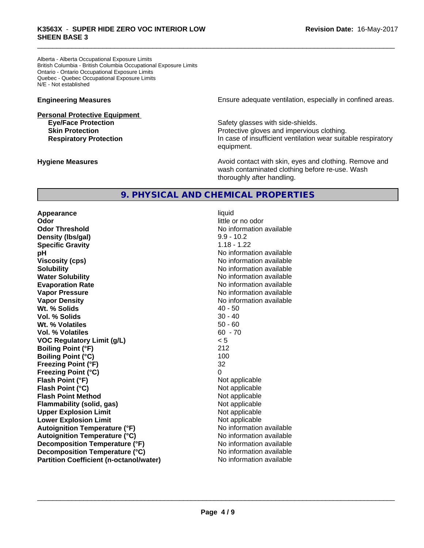Alberta - Alberta Occupational Exposure Limits British Columbia - British Columbia Occupational Exposure Limits Ontario - Ontario Occupational Exposure Limits Quebec - Quebec Occupational Exposure Limits N/E - Not established

# **Personal Protective Equipment**

**Engineering Measures Ensure** Ensure adequate ventilation, especially in confined areas.

**Eye/Face Protection Safety glasses with side-shields. Skin Protection Protective gloves and impervious clothing. Respiratory Protection In case of insufficient ventilation wear suitable respiratory** equipment.

**Hygiene Measures Avoid contact with skin, eyes and clothing. Remove and Avoid contact with skin, eyes and clothing. Remove and Avoid contact with skin, eyes and clothing. Remove and** wash contaminated clothing before re-use. Wash thoroughly after handling.

# **9. PHYSICAL AND CHEMICAL PROPERTIES**

**Appearance** liquid **Odor** little or no odor **Odor Threshold No information available No information available Density (Ibs/gal)** 9.9 - 10.2<br> **Specific Gravity** 1.18 - 1.22 **Specific Gravity pH pH**  $\blacksquare$ **Viscosity (cps)** No information available in the Viscosity (cps) **Solubility No information available No information available Water Solubility Water Solubility No information available Evaporation Rate No information available No information available Vapor Pressure** No information available **Vapor Density Vapor Density No information available Wt.** % Solids 40 - 50 **Vol. % Solids** 30 - 40 **Wt. % Volatiles** 50 - 60 **Vol. % Volatiles** 60 - 70 **VOC Regulatory Limit (g/L)** < 5 **Boiling Point (°F)** 212 **Boiling Point (°C)** 100 **Freezing Point (°F)** 32 **Freezing Point (°C)** 0 **Flash Point (°F)** Not applicable **Flash Point (°C)** Not applicable **Flash Point Method** Not applicable **Flammability (solid, gas)** Not applicable **Upper Explosion Limit** Not applicable **Lower Explosion Limit Contract Accord Accord Accord Accord Accord Accord Accord Accord Accord Accord Accord Accord Accord Accord Accord Accord Accord Accord Accord Accord Accord Accord Accord Accord Accord Accord Accord Autoignition Temperature (°F)** No information available **Autoignition Temperature (°C)** No information available **Decomposition Temperature (°F)** No information available **Decomposition Temperature (°C)** No information available **Partition Coefficient (n-octanol/water)** No information available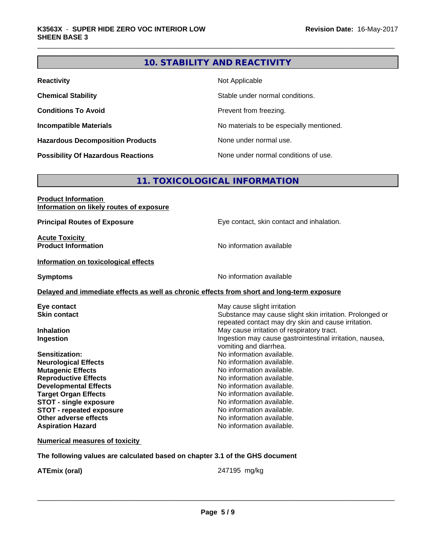# **10. STABILITY AND REACTIVITY**

| <b>Reactivity</b>                         | Not Applicable                           |  |
|-------------------------------------------|------------------------------------------|--|
| <b>Chemical Stability</b>                 | Stable under normal conditions.          |  |
| <b>Conditions To Avoid</b>                | Prevent from freezing.                   |  |
| <b>Incompatible Materials</b>             | No materials to be especially mentioned. |  |
| <b>Hazardous Decomposition Products</b>   | None under normal use.                   |  |
| <b>Possibility Of Hazardous Reactions</b> | None under normal conditions of use.     |  |

# **11. TOXICOLOGICAL INFORMATION**

# **Product Information Information on likely routes of exposure**

**Principal Routes of Exposure Exposure** Eye contact, skin contact and inhalation.

**Acute Toxicity** 

**Product Information Information No information available** 

**Information on toxicological effects**

**Symptoms** No information available

#### **Delayed and immediate effects as well as chronic effects from short and long-term exposure**

**Neurological Effects Mutagenic Effects Mutagenic Effects No information available. Reproductive Effects**<br> **Reproductive Effects**<br> **Developmental Effects**<br> **No information available. Developmental Effects Target Organ Effects No information available. STOT -** single exposure<br> **STOT -** repeated exposure<br>
No information available **STOT** - repeated exposure **Other adverse effects** No information available. **Aspiration Hazard Aspiration Hazard No information available.** 

**Eye contact Exercise Solution Exercise Solution May cause slight irritation Skin contact** Substance may cause slight skin irritation. Prolonged or repeated contact may dry skin and cause irritation. **Inhalation**<br> **Ingestion**<br> **Ingestion**<br> **Ingestion**<br> **Ingestion**<br> **Ingestion**<br> **Ingestion**<br> **Ingestion**<br> **Ingestion** Ingestion may cause gastrointestinal irritation, nausea, vomiting and diarrhea. **Sensitization:** No information available.<br>
No information available.<br>
No information available.

**Numerical measures of toxicity**

**The following values are calculated based on chapter 3.1 of the GHS document**

**ATEmix (oral)** 247195 mg/kg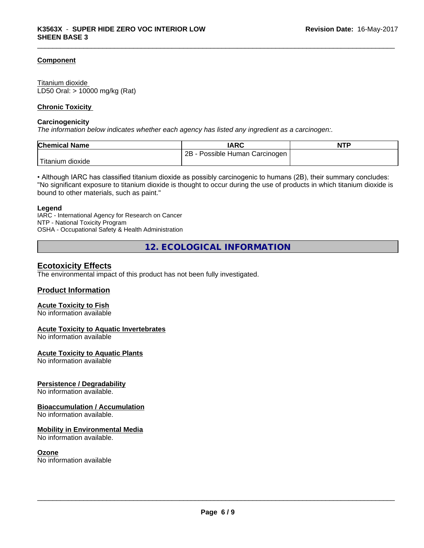#### **Component**

Titanium dioxide LD50 Oral: > 10000 mg/kg (Rat)

#### **Chronic Toxicity**

#### **Carcinogenicity**

*The information below indicateswhether each agency has listed any ingredient as a carcinogen:.*

| <b>Chemical Name</b>          | <b>IARC</b>                     | <b>NTP</b> |
|-------------------------------|---------------------------------|------------|
|                               | 2B<br>Possible Human Carcinogen |            |
| l ma<br>⊧dioxide<br>I itanium |                                 |            |

• Although IARC has classified titanium dioxide as possibly carcinogenic to humans (2B), their summary concludes: "No significant exposure to titanium dioxide is thought to occur during the use of products in which titanium dioxide is bound to other materials, such as paint."

#### **Legend**

IARC - International Agency for Research on Cancer NTP - National Toxicity Program OSHA - Occupational Safety & Health Administration

**12. ECOLOGICAL INFORMATION**

## **Ecotoxicity Effects**

The environmental impact of this product has not been fully investigated.

#### **Product Information**

#### **Acute Toxicity to Fish**

No information available

#### **Acute Toxicity to Aquatic Invertebrates**

No information available

#### **Acute Toxicity to Aquatic Plants**

No information available

#### **Persistence / Degradability**

No information available.

#### **Bioaccumulation / Accumulation**

No information available.

#### **Mobility in Environmental Media**

No information available.

#### **Ozone**

No information available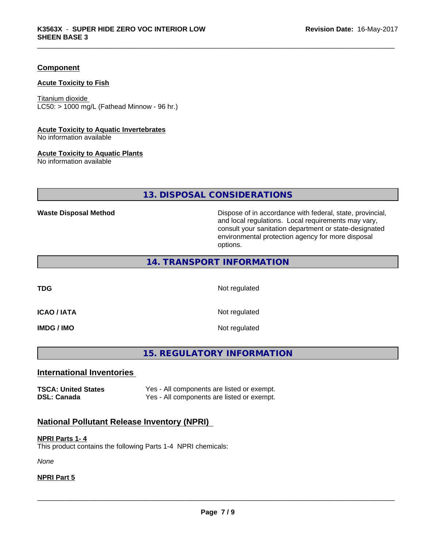#### **Component**

#### **Acute Toxicity to Fish**

Titanium dioxide  $LC50:$  > 1000 mg/L (Fathead Minnow - 96 hr.)

#### **Acute Toxicity to Aquatic Invertebrates**

No information available

#### **Acute Toxicity to Aquatic Plants**

No information available

# **13. DISPOSAL CONSIDERATIONS**

Waste Disposal Method **Dispose of in accordance with federal, state, provincial,** and local regulations. Local requirements may vary, consult your sanitation department or state-designated environmental protection agency for more disposal options.

## **14. TRANSPORT INFORMATION**

**TDG** Not regulated

**ICAO / IATA** Not regulated

**IMDG / IMO** Not regulated

# **15. REGULATORY INFORMATION**

#### **International Inventories**

**TSCA: United States** Yes - All components are listed or exempt. **DSL: Canada** Yes - All components are listed or exempt.

# **National Pollutant Release Inventory (NPRI)**

#### **NPRI Parts 1- 4**

This product contains the following Parts 1-4 NPRI chemicals:

*None*

#### **NPRI Part 5**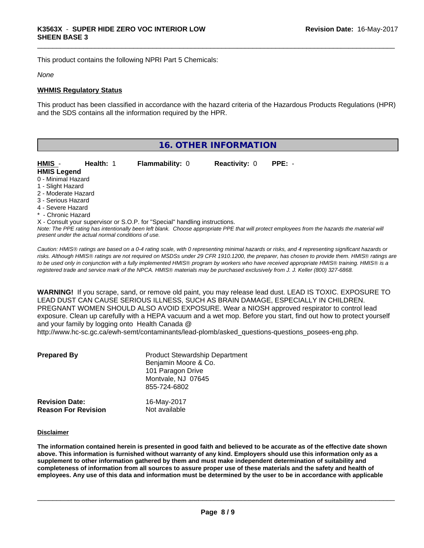This product contains the following NPRI Part 5 Chemicals:

#### *None*

#### **WHMIS Regulatory Status**

This product has been classified in accordance with the hazard criteria of the Hazardous Products Regulations (HPR) and the SDS contains all the information required by the HPR.

| 16. OTHER INFORMATION                                                                                                                         |                                                    |                        |                      |          |
|-----------------------------------------------------------------------------------------------------------------------------------------------|----------------------------------------------------|------------------------|----------------------|----------|
| HMIS -                                                                                                                                        | Health: 1                                          | <b>Flammability: 0</b> | <b>Reactivity: 0</b> | $PPE: -$ |
| <b>HMIS Legend</b>                                                                                                                            |                                                    |                        |                      |          |
| 0 - Minimal Hazard                                                                                                                            |                                                    |                        |                      |          |
| 1 - Slight Hazard                                                                                                                             |                                                    |                        |                      |          |
| 2 - Moderate Hazard                                                                                                                           |                                                    |                        |                      |          |
| 3 - Serious Hazard                                                                                                                            |                                                    |                        |                      |          |
| 4 - Severe Hazard                                                                                                                             |                                                    |                        |                      |          |
| * - Chronic Hazard                                                                                                                            |                                                    |                        |                      |          |
| X - Consult your supervisor or S.O.P. for "Special" handling instructions.                                                                    |                                                    |                        |                      |          |
| Note: The PPE rating has intentionally been left blank. Choose appropriate PPE that will protect employees from the hazards the material will |                                                    |                        |                      |          |
|                                                                                                                                               | present under the actual normal conditions of use. |                        |                      |          |

*Caution: HMISÒ ratings are based on a 0-4 rating scale, with 0 representing minimal hazards or risks, and 4 representing significant hazards or risks. Although HMISÒ ratings are not required on MSDSs under 29 CFR 1910.1200, the preparer, has chosen to provide them. HMISÒ ratings are to be used only in conjunction with a fully implemented HMISÒ program by workers who have received appropriate HMISÒ training. HMISÒ is a registered trade and service mark of the NPCA. HMISÒ materials may be purchased exclusively from J. J. Keller (800) 327-6868.*

**WARNING!** If you scrape, sand, or remove old paint, you may release lead dust. LEAD IS TOXIC. EXPOSURE TO LEAD DUST CAN CAUSE SERIOUS ILLNESS, SUCH AS BRAIN DAMAGE, ESPECIALLY IN CHILDREN. PREGNANT WOMEN SHOULD ALSO AVOID EXPOSURE.Wear a NIOSH approved respirator to control lead exposure. Clean up carefully with a HEPA vacuum and a wet mop. Before you start, find out how to protect yourself and your family by logging onto Health Canada @ http://www.hc-sc.gc.ca/ewh-semt/contaminants/lead-plomb/asked\_questions-questions\_posees-eng.php.

| <b>Prepared By</b>         | <b>Product Stewardship Department</b><br>Benjamin Moore & Co.<br>101 Paragon Drive<br>Montvale, NJ 07645<br>855-724-6802 |
|----------------------------|--------------------------------------------------------------------------------------------------------------------------|
| <b>Revision Date:</b>      | 16-May-2017                                                                                                              |
| <b>Reason For Revision</b> | Not available                                                                                                            |

#### **Disclaimer**

The information contained herein is presented in good faith and believed to be accurate as of the effective date shown above. This information is furnished without warranty of any kind. Employers should use this information only as a **supplement to other information gathered by them and must make independent determination of suitability and** completeness of information from all sources to assure proper use of these materials and the safety and health of employees. Any use of this data and information must be determined by the user to be in accordance with applicable